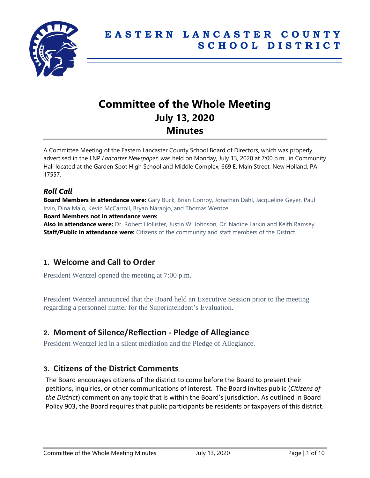

# **Committee of the Whole Meeting July 13, 2020 Minutes**

A Committee Meeting of the Eastern Lancaster County School Board of Directors, which was properly advertised in the LNP *Lancaster Newspaper*, was held on Monday, July 13, 2020 at 7:00 p.m., in Community Hall located at the Garden Spot High School and Middle Complex, 669 E. Main Street, New Holland, PA 17557.

## *Roll Call*

**Board Members in attendance were:** Gary Buck, Brian Conroy, Jonathan Dahl, Jacqueline Geyer, Paul Irvin, Dina Maio, Kevin McCarroll, Bryan Naranjo, and Thomas Wentzel **Board Members not in attendance were:** 

**Also in attendance were:** Dr. Robert Hollister, Justin W. Johnson, Dr. Nadine Larkin and Keith Ramsey **Staff/Public in attendance were:** Citizens of the community and staff members of the District

# **1. Welcome and Call to Order**

President Wentzel opened the meeting at 7:00 p.m.

President Wentzel announced that the Board held an Executive Session prior to the meeting regarding a personnel matter for the Superintendent's Evaluation.

# **2. Moment of Silence/Reflection - Pledge of Allegiance**

President Wentzel led in a silent mediation and the Pledge of Allegiance.

# **3. Citizens of the District Comments**

The Board encourages citizens of the district to come before the Board to present their petitions, inquiries, or other communications of interest. The Board invites public (*Citizens of the District*) comment on any topic that is within the Board's jurisdiction. As outlined in Board Policy 903, the Board requires that public participants be residents or taxpayers of this district.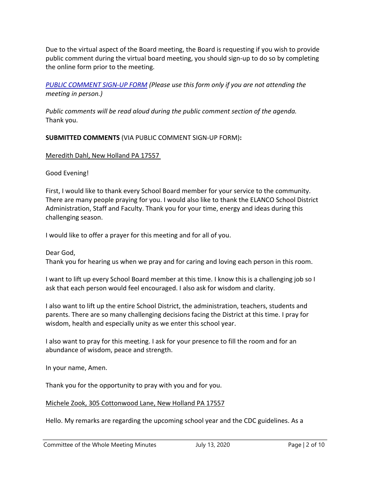Due to the virtual aspect of the Board meeting, the Board is requesting if you wish to provide public comment during the virtual board meeting, you should sign-up to do so by completing the online form prior to the meeting.

*[PUBLIC COMMENT SIGN-UP FORM](https://forms.gle/zDXXoX8rZQUxt1Ap6) (Please use this form only if you are not attending the meeting in person.)*

*Public comments will be read aloud during the public comment section of the agenda.* Thank you.

**SUBMITTED COMMENTS** (VIA PUBLIC COMMENT SIGN-UP FORM)**:**

Meredith Dahl, New Holland PA 17557

Good Evening!

First, I would like to thank every School Board member for your service to the community. There are many people praying for you. I would also like to thank the ELANCO School District Administration, Staff and Faculty. Thank you for your time, energy and ideas during this challenging season.

I would like to offer a prayer for this meeting and for all of you.

Dear God, Thank you for hearing us when we pray and for caring and loving each person in this room.

I want to lift up every School Board member at this time. I know this is a challenging job so I ask that each person would feel encouraged. I also ask for wisdom and clarity.

I also want to lift up the entire School District, the administration, teachers, students and parents. There are so many challenging decisions facing the District at this time. I pray for wisdom, health and especially unity as we enter this school year.

I also want to pray for this meeting. I ask for your presence to fill the room and for an abundance of wisdom, peace and strength.

In your name, Amen.

Thank you for the opportunity to pray with you and for you.

## Michele Zook, 305 Cottonwood Lane, New Holland PA 17557

Hello. My remarks are regarding the upcoming school year and the CDC guidelines. As a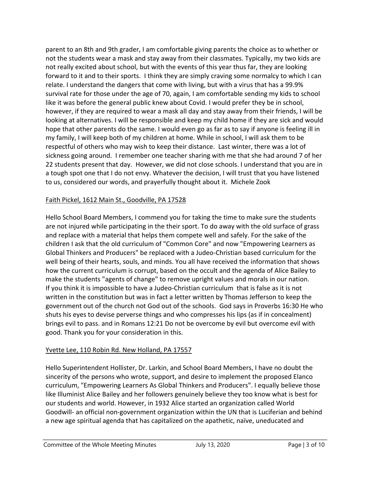parent to an 8th and 9th grader, I am comfortable giving parents the choice as to whether or not the students wear a mask and stay away from their classmates. Typically, my two kids are not really excited about school, but with the events of this year thus far, they are looking forward to it and to their sports. I think they are simply craving some normalcy to which I can relate. I understand the dangers that come with living, but with a virus that has a 99.9% survival rate for those under the age of 70, again, I am comfortable sending my kids to school like it was before the general public knew about Covid. I would prefer they be in school, however, if they are required to wear a mask all day and stay away from their friends, I will be looking at alternatives. I will be responsible and keep my child home if they are sick and would hope that other parents do the same. I would even go as far as to say if anyone is feeling ill in my family, I will keep both of my children at home. While in school, I will ask them to be respectful of others who may wish to keep their distance. Last winter, there was a lot of sickness going around. I remember one teacher sharing with me that she had around 7 of her 22 students present that day. However, we did not close schools. I understand that you are in a tough spot one that I do not envy. Whatever the decision, I will trust that you have listened to us, considered our words, and prayerfully thought about it. Michele Zook

## Faith Pickel, 1612 Main St., Goodville, PA 17528

Hello School Board Members, I commend you for taking the time to make sure the students are not injured while participating in the their sport. To do away with the old surface of grass and replace with a material that helps them compete well and safely. For the sake of the children I ask that the old curriculum of "Common Core" and now "Empowering Learners as Global Thinkers and Producers" be replaced with a Judeo-Christian based curriculum for the well being of their hearts, souls, and minds. You all have received the information that shows how the current curriculum is corrupt, based on the occult and the agenda of Alice Bailey to make the students "agents of change" to remove upright values and morals in our nation. If you think it is impossible to have a Judeo-Christian curriculum that is false as it is not written in the constitution but was in fact a letter written by Thomas Jefferson to keep the government out of the church not God out of the schools. God says in Proverbs 16:30 He who shuts his eyes to devise perverse things and who compresses his lips (as if in concealment) brings evil to pass. and in Romans 12:21 Do not be overcome by evil but overcome evil with good. Thank you for your consideration in this.

## Yvette Lee, 110 Robin Rd. New Holland, PA 17557

Hello Superintendent Hollister, Dr. Larkin, and School Board Members, I have no doubt the sincerity of the persons who wrote, support, and desire to implement the proposed Elanco curriculum, "Empowering Learners As Global Thinkers and Producers". I equally believe those like Illuminist Alice Bailey and her followers genuinely believe they too know what is best for our students and world. However, in 1932 Alice started an organization called World Goodwill- an official non-government organization within the UN that is Luciferian and behind a new age spiritual agenda that has capitalized on the apathetic, naïve, uneducated and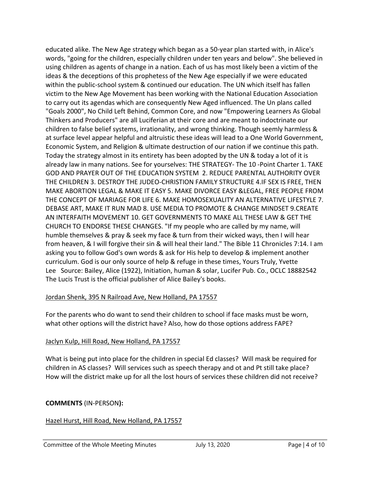educated alike. The New Age strategy which began as a 50-year plan started with, in Alice's words, "going for the children, especially children under ten years and below". She believed in using children as agents of change in a nation. Each of us has most likely been a victim of the ideas & the deceptions of this prophetess of the New Age especially if we were educated within the public-school system & continued our education. The UN which itself has fallen victim to the New Age Movement has been working with the National Education Association to carry out its agendas which are consequently New Aged influenced. The Un plans called "Goals 2000", No Child Left Behind, Common Core, and now "Empowering Learners As Global Thinkers and Producers" are all Luciferian at their core and are meant to indoctrinate our children to false belief systems, irrationality, and wrong thinking. Though seemly harmless & at surface level appear helpful and altruistic these ideas will lead to a One World Government, Economic System, and Religion & ultimate destruction of our nation if we continue this path. Today the strategy almost in its entirety has been adopted by the UN & today a lot of it is already law in many nations. See for yourselves: THE STRATEGY- The 10 -Point Charter 1. TAKE GOD AND PRAYER OUT OF THE EDUCATION SYSTEM 2. REDUCE PARENTAL AUTHORITY OVER THE CHILDREN 3. DESTROY THE JUDEO-CHRISTION FAMILY STRUCTURE 4.IF SEX IS FREE, THEN MAKE ABORTION LEGAL & MAKE IT EASY 5. MAKE DIVORCE EASY &LEGAL, FREE PEOPLE FROM THE CONCEPT OF MARIAGE FOR LIFE 6. MAKE HOMOSEXUALITY AN ALTERNATIVE LIFESTYLE 7. DEBASE ART, MAKE IT RUN MAD 8. USE MEDIA TO PROMOTE & CHANGE MINDSET 9.CREATE AN INTERFAITH MOVEMENT 10. GET GOVERNMENTS TO MAKE ALL THESE LAW & GET THE CHURCH TO ENDORSE THESE CHANGES. "If my people who are called by my name, will humble themselves & pray & seek my face & turn from their wicked ways, then I will hear from heaven, & I will forgive their sin & will heal their land." The Bible 11 Chronicles 7:14. I am asking you to follow God's own words & ask for His help to develop & implement another curriculum. God is our only source of help & refuge in these times, Yours Truly, Yvette Lee Source: Bailey, Alice (1922), Initiation, human & solar, Lucifer Pub. Co., OCLC 18882542 The Lucis Trust is the official publisher of Alice Bailey's books.

#### Jordan Shenk, 395 N Railroad Ave, New Holland, PA 17557

For the parents who do want to send their children to school if face masks must be worn, what other options will the district have? Also, how do those options address FAPE?

#### Jaclyn Kulp, Hill Road, New Holland, PA 17557

What is being put into place for the children in special Ed classes? Will mask be required for children in AS classes? Will services such as speech therapy and ot and Pt still take place? How will the district make up for all the lost hours of services these children did not receive?

#### **COMMENTS** (IN-PERSON**):**

#### Hazel Hurst, Hill Road, New Holland, PA 17557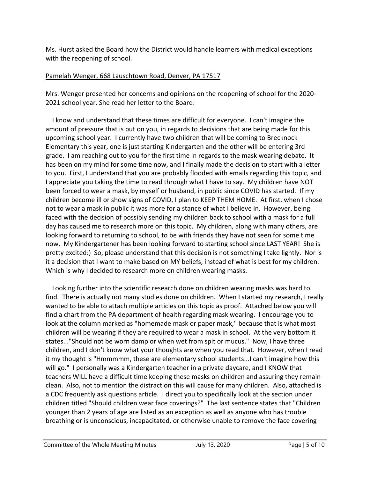Ms. Hurst asked the Board how the District would handle learners with medical exceptions with the reopening of school.

#### Pamelah Wenger, 668 Lauschtown Road, Denver, PA 17517

Mrs. Wenger presented her concerns and opinions on the reopening of school for the 2020- 2021 school year. She read her letter to the Board:

 I know and understand that these times are difficult for everyone. I can't imagine the amount of pressure that is put on you, in regards to decisions that are being made for this upcoming school year. I currently have two children that will be coming to Brecknock Elementary this year, one is just starting Kindergarten and the other will be entering 3rd grade. I am reaching out to you for the first time in regards to the mask wearing debate. It has been on my mind for some time now, and I finally made the decision to start with a letter to you. First, I understand that you are probably flooded with emails regarding this topic, and I appreciate you taking the time to read through what I have to say. My children have NOT been forced to wear a mask, by myself or husband, in public since COVID has started. If my children become ill or show signs of COVID, I plan to KEEP THEM HOME. At first, when I chose not to wear a mask in public it was more for a stance of what I believe in. However, being faced with the decision of possibly sending my children back to school with a mask for a full day has caused me to research more on this topic. My children, along with many others, are looking forward to returning to school, to be with friends they have not seen for some time now. My Kindergartener has been looking forward to starting school since LAST YEAR! She is pretty excited:) So, please understand that this decision is not something I take lightly. Nor is it a decision that I want to make based on MY beliefs, instead of what is best for my children. Which is why I decided to research more on children wearing masks.

 Looking further into the scientific research done on children wearing masks was hard to find. There is actually not many studies done on children. When I started my research, I really wanted to be able to attach multiple articles on this topic as proof. Attached below you will find a chart from the PA department of health regarding mask wearing. I encourage you to look at the column marked as "homemade mask or paper mask," because that is what most children will be wearing if they are required to wear a mask in school. At the very bottom it states..."Should not be worn damp or when wet from spit or mucus." Now, I have three children, and I don't know what your thoughts are when you read that. However, when I read it my thought is "Hmmmmm, these are elementary school students...I can't imagine how this will go." I personally was a Kindergarten teacher in a private daycare, and I KNOW that teachers WILL have a difficult time keeping these masks on children and assuring they remain clean. Also, not to mention the distraction this will cause for many children. Also, attached is a CDC frequently ask questions article. I direct you to specifically look at the section under children titled "Should children wear face coverings?" The last sentence states that "Children younger than 2 years of age are listed as an exception as well as anyone who has trouble breathing or is unconscious, incapacitated, or otherwise unable to remove the face covering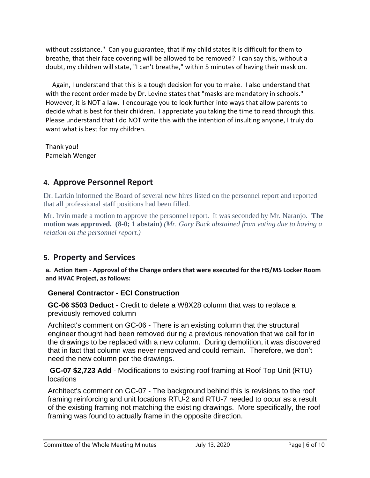without assistance." Can you guarantee, that if my child states it is difficult for them to breathe, that their face covering will be allowed to be removed? I can say this, without a doubt, my children will state, "I can't breathe," within 5 minutes of having their mask on.

 Again, I understand that this is a tough decision for you to make. I also understand that with the recent order made by Dr. Levine states that "masks are mandatory in schools." However, it is NOT a law. I encourage you to look further into ways that allow parents to decide what is best for their children. I appreciate you taking the time to read through this. Please understand that I do NOT write this with the intention of insulting anyone, I truly do want what is best for my children.

Thank you! Pamelah Wenger

# **4. Approve Personnel Report**

Dr. Larkin informed the Board of several new hires listed on the personnel report and reported that all professional staff positions had been filled.

Mr. Irvin made a motion to approve the personnel report. It was seconded by Mr. Naranjo. **The motion was approved. (8-0; 1 abstain)** *(Mr. Gary Buck abstained from voting due to having a relation on the personnel report.)*

# **5. Property and Services**

**a. Action Item - Approval of the Change orders that were executed for the HS/MS Locker Room and HVAC Project, as follows:**

## **General Contractor - ECI Construction**

**GC-06 \$503 Deduct** - Credit to delete a W8X28 column that was to replace a previously removed column

Architect's comment on GC-06 - There is an existing column that the structural engineer thought had been removed during a previous renovation that we call for in the drawings to be replaced with a new column. During demolition, it was discovered that in fact that column was never removed and could remain. Therefore, we don't need the new column per the drawings.

**GC-07 \$2,723 Add** - Modifications to existing roof framing at Roof Top Unit (RTU) locations

Architect's comment on GC-07 - The background behind this is revisions to the roof framing reinforcing and unit locations RTU-2 and RTU-7 needed to occur as a result of the existing framing not matching the existing drawings. More specifically, the roof framing was found to actually frame in the opposite direction.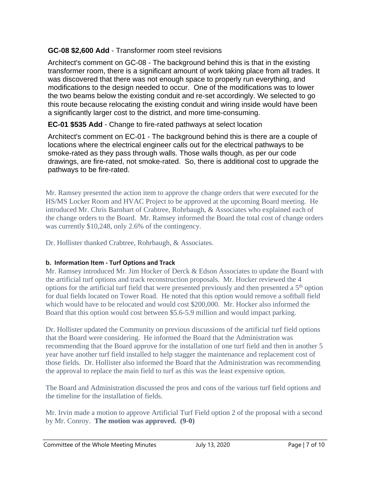## **GC-08 \$2,600 Add** - Transformer room steel revisions

Architect's comment on GC-08 - The background behind this is that in the existing transformer room, there is a significant amount of work taking place from all trades. It was discovered that there was not enough space to properly run everything, and modifications to the design needed to occur. One of the modifications was to lower the two beams below the existing conduit and re-set accordingly. We selected to go this route because relocating the existing conduit and wiring inside would have been a significantly larger cost to the district, and more time-consuming.

## **EC-01 \$535 Add** - Change to fire-rated pathways at select location

Architect's comment on EC-01 - The background behind this is there are a couple of locations where the electrical engineer calls out for the electrical pathways to be smoke-rated as they pass through walls. Those walls though, as per our code drawings, are fire-rated, not smoke-rated. So, there is additional cost to upgrade the pathways to be fire-rated.

Mr. Ramsey presented the action item to approve the change orders that were executed for the HS/MS Locker Room and HVAC Project to be approved at the upcoming Board meeting. He introduced Mr. Chris Barnhart of Crabtree, Rohrbaugh, & Associates who explained each of the change orders to the Board. Mr. Ramsey informed the Board the total cost of change orders was currently \$10,248, only 2.6% of the contingency.

Dr. Hollister thanked Crabtree, Rohrbaugh, & Associates.

## **b. Information Item - Turf Options and Track**

Mr. Ramsey introduced Mr. Jim Hocker of Derck & Edson Associates to update the Board with the artificial turf options and track reconstruction proposals. Mr. Hocker reviewed the 4 options for the artificial turf field that were presented previously and then presented a  $5<sup>th</sup>$  option for dual fields located on Tower Road. He noted that this option would remove a softball field which would have to be relocated and would cost \$200,000. Mr. Hocker also informed the Board that this option would cost between \$5.6-5.9 million and would impact parking.

Dr. Hollister updated the Community on previous discussions of the artificial turf field options that the Board were considering. He informed the Board that the Administration was recommending that the Board approve for the installation of one turf field and then in another 5 year have another turf field installed to help stagger the maintenance and replacement cost of those fields. Dr. Hollister also informed the Board that the Administration was recommending the approval to replace the main field to turf as this was the least expensive option.

The Board and Administration discussed the pros and cons of the various turf field options and the timeline for the installation of fields.

Mr. Irvin made a motion to approve Artificial Turf Field option 2 of the proposal with a second by Mr. Conroy. **The motion was approved. (9-0)**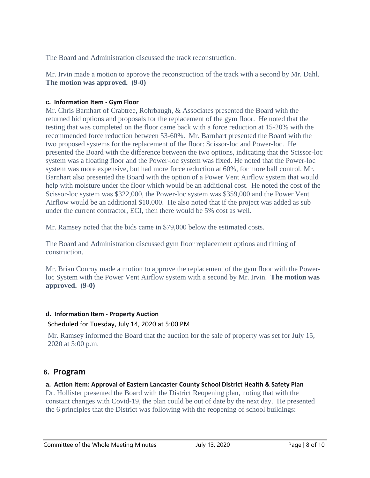The Board and Administration discussed the track reconstruction.

Mr. Irvin made a motion to approve the reconstruction of the track with a second by Mr. Dahl. **The motion was approved. (9-0)**

### **c. Information Item - Gym Floor**

Mr. Chris Barnhart of Crabtree, Rohrbaugh, & Associates presented the Board with the returned bid options and proposals for the replacement of the gym floor. He noted that the testing that was completed on the floor came back with a force reduction at 15-20% with the recommended force reduction between 53-60%. Mr. Barnhart presented the Board with the two proposed systems for the replacement of the floor: Scissor-loc and Power-loc. He presented the Board with the difference between the two options, indicating that the Scissor-loc system was a floating floor and the Power-loc system was fixed. He noted that the Power-loc system was more expensive, but had more force reduction at 60%, for more ball control. Mr. Barnhart also presented the Board with the option of a Power Vent Airflow system that would help with moisture under the floor which would be an additional cost. He noted the cost of the Scissor-loc system was \$322,000, the Power-loc system was \$359,000 and the Power Vent Airflow would be an additional \$10,000. He also noted that if the project was added as sub under the current contractor, ECI, then there would be 5% cost as well.

Mr. Ramsey noted that the bids came in \$79,000 below the estimated costs.

The Board and Administration discussed gym floor replacement options and timing of construction.

Mr. Brian Conroy made a motion to approve the replacement of the gym floor with the Powerloc System with the Power Vent Airflow system with a second by Mr. Irvin. **The motion was approved. (9-0)**

### **d. Information Item - Property Auction**  Scheduled for Tuesday, July 14, 2020 at 5:00 PM

Mr. Ramsey informed the Board that the auction for the sale of property was set for July 15, 2020 at 5:00 p.m.

# **6. Program**

## **a. Action Item: Approval of Eastern Lancaster County School District Health & Safety Plan**

Dr. Hollister presented the Board with the District Reopening plan, noting that with the constant changes with Covid-19, the plan could be out of date by the next day. He presented the 6 principles that the District was following with the reopening of school buildings: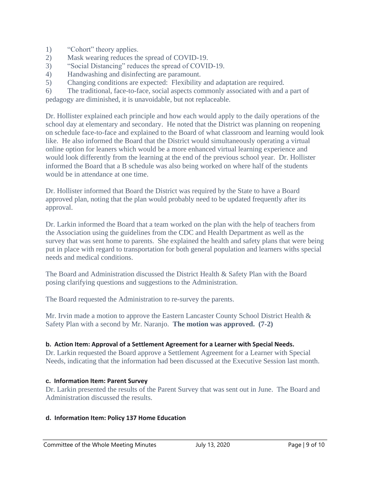- 1) "Cohort" theory applies.
- 2) Mask wearing reduces the spread of COVID-19.
- 3) "Social Distancing" reduces the spread of COVID-19.
- 4) Handwashing and disinfecting are paramount.
- 5) Changing conditions are expected: Flexibility and adaptation are required.

6) The traditional, face-to-face, social aspects commonly associated with and a part of pedagogy are diminished, it is unavoidable, but not replaceable.

Dr. Hollister explained each principle and how each would apply to the daily operations of the school day at elementary and secondary. He noted that the District was planning on reopening on schedule face-to-face and explained to the Board of what classroom and learning would look like. He also informed the Board that the District would simultaneously operating a virtual online option for leaners which would be a more enhanced virtual learning experience and would look differently from the learning at the end of the previous school year. Dr. Hollister informed the Board that a B schedule was also being worked on where half of the students would be in attendance at one time.

Dr. Hollister informed that Board the District was required by the State to have a Board approved plan, noting that the plan would probably need to be updated frequently after its approval.

Dr. Larkin informed the Board that a team worked on the plan with the help of teachers from the Association using the guidelines from the CDC and Health Department as well as the survey that was sent home to parents. She explained the health and safety plans that were being put in place with regard to transportation for both general population and learners withs special needs and medical conditions.

The Board and Administration discussed the District Health & Safety Plan with the Board posing clarifying questions and suggestions to the Administration.

The Board requested the Administration to re-survey the parents.

Mr. Irvin made a motion to approve the Eastern Lancaster County School District Health & Safety Plan with a second by Mr. Naranjo. **The motion was approved. (7-2)**

## **b. Action Item: Approval of a Settlement Agreement for a Learner with Special Needs.**

Dr. Larkin requested the Board approve a Settlement Agreement for a Learner with Special Needs, indicating that the information had been discussed at the Executive Session last month.

## **c. Information Item: Parent Survey**

Dr. Larkin presented the results of the Parent Survey that was sent out in June. The Board and Administration discussed the results.

## **d. Information Item: Policy 137 Home Education**